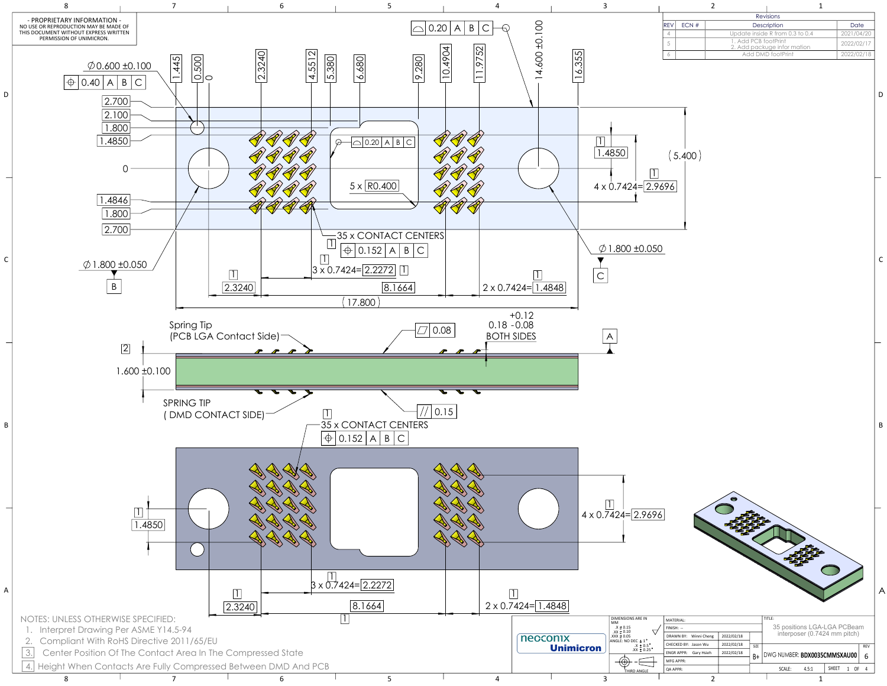

| MATERIAL:                      |            |      | TITLE:                      |                              |       |              |      |            |
|--------------------------------|------------|------|-----------------------------|------------------------------|-------|--------------|------|------------|
| $FINISH: -$                    |            |      | 35 positions LGA-LGA PCBeam |                              |       |              |      |            |
| DRAWN BY: Winni Cheng          | 2022/02/18 |      |                             | interposer (0.7424 mm pitch) |       |              |      |            |
| CHECKED BY: Jason Wu           | 2022/02/18 | SIZE |                             |                              |       |              |      | <b>REV</b> |
| <b>ENGRAPPR:</b><br>Gary Hsieh | 2022/02/18 | B+   |                             | DWG NUMBER: BDX0035CMMSXAU00 |       |              |      | 6          |
| MFG APPR:                      |            |      |                             |                              |       |              |      |            |
| <b>QA APPR:</b>                |            |      |                             | SCALE:                       | 4.5:1 | <b>SHEET</b> | 1 OF | 4          |
|                                |            |      |                             |                              |       |              |      |            |

|      |      |                      | <b>Revisions</b>                |            |
|------|------|----------------------|---------------------------------|------------|
| IREV | ECN# |                      | Description                     | Date       |
| Δ    |      |                      | Update inside R from 0.3 to 0.4 | 2021/04/20 |
|      |      | 1. Add PCB footPrint | 2. Add packuge infor mation     | 2022/02/17 |
|      |      |                      | Add DMD footPrint               | 2022/02/18 |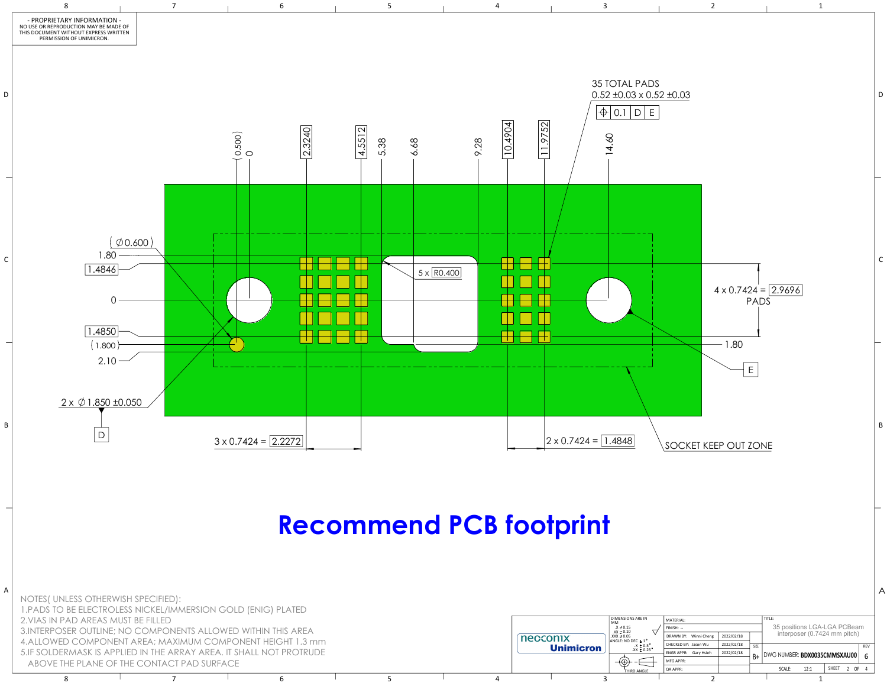

8 7 7 6 7 5 7 4 7 3 2 2 1

HIRD ANGLE

|   | MATERIAL:                      |            |      | TITLE:<br>35 positions LGA-LGA PCBeam |                              |              |      |            |
|---|--------------------------------|------------|------|---------------------------------------|------------------------------|--------------|------|------------|
|   | $FINISH: -$                    |            |      |                                       |                              |              |      |            |
|   | DRAWN BY: Winni Cheng          | 2022/02/18 |      |                                       | interposer (0.7424 mm pitch) |              |      |            |
| ۰ | CHECKED BY: Jason Wu           | 2022/02/18 | SIZE |                                       |                              |              |      | <b>REV</b> |
|   | <b>ENGRAPPR:</b><br>Gary Hsieh | 2022/02/18 | B+   |                                       | DWG NUMBER: BDX0035CMMSXAU00 |              |      |            |
|   | MFG APPR:                      |            |      |                                       |                              |              |      | 6          |
|   | QA APPR:                       |            |      | SCALE:                                | 12:1                         | <b>SHEET</b> | 2 OF | 4          |
|   |                                |            |      |                                       |                              |              |      |            |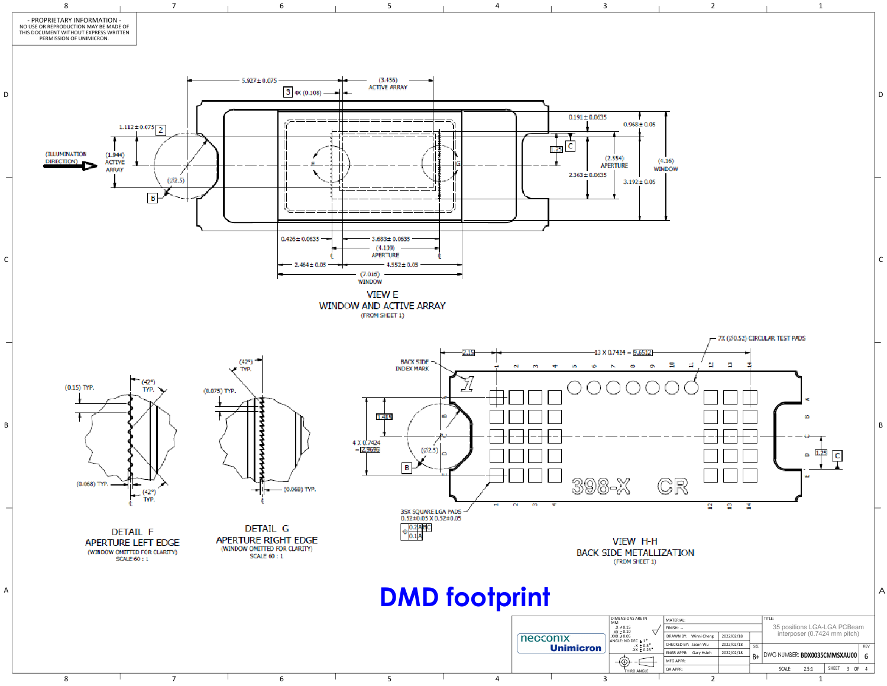

| 5<br>(4.16)<br><b>WINDOW</b><br>5<br>7X (Ø0.52) CIRCULAR TEST PADS<br>s<br>a<br>e<br>⊐<br>€<br>æ<br>1<br>.25<br>۵<br>c<br>ш<br>CR<br>g<br>g<br>¥,<br>Н<br><b>LIZATION</b><br>I)<br>TITLE:<br>MATERIAL:<br>35 positions LGA-LGA PCBeam<br>interposer (0.7424 mm pitch)<br>FINISH: --<br>DRAWN BY:<br>Winni Cheng<br>2022/02/18<br>CHECKED BY: Jason Wu<br>2022/02/18<br>SIZE<br>REV<br><b>ENGR APPR:</b><br>Gary Hsieh<br>2022/02/18<br>DWG NUMBER: BDX0035CMMSXAU00<br>B+<br>6<br>$\ddagger$<br>MFG APPR: | $\overline{c}$ |  | $\mathbf 1$                                      |                |
|-----------------------------------------------------------------------------------------------------------------------------------------------------------------------------------------------------------------------------------------------------------------------------------------------------------------------------------------------------------------------------------------------------------------------------------------------------------------------------------------------------------|----------------|--|--------------------------------------------------|----------------|
|                                                                                                                                                                                                                                                                                                                                                                                                                                                                                                           |                |  |                                                  | D              |
|                                                                                                                                                                                                                                                                                                                                                                                                                                                                                                           |                |  |                                                  | $\mathsf C$    |
|                                                                                                                                                                                                                                                                                                                                                                                                                                                                                                           |                |  |                                                  | B              |
| QA APPR:                                                                                                                                                                                                                                                                                                                                                                                                                                                                                                  |                |  | SHEET<br>2.5:1<br>$3$ OF<br>SCALE:<br>$\sqrt{4}$ | $\overline{A}$ |